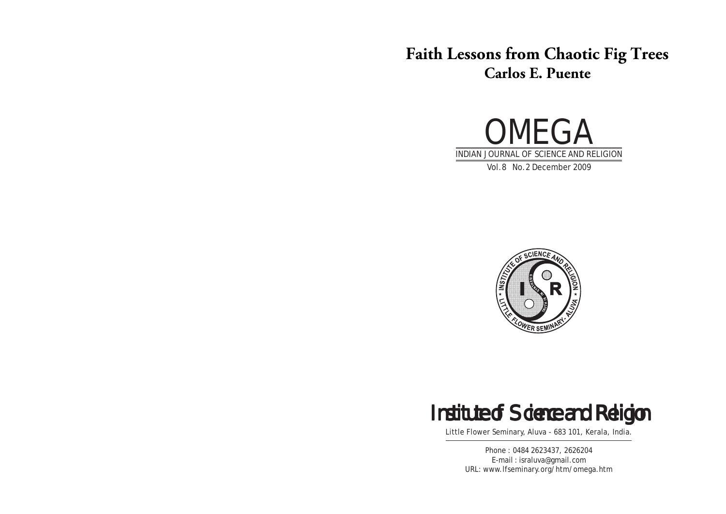# **Faith Lessons from Chaotic Fig Trees Carlos E. Puente**





# Institute of Science and Religion

Little Flower Seminary, Aluva - 683 101, Kerala, India.

Phone : 0484 2623437, 2626204 E-mail : israluva@gmail.com URL: www.lfseminary.org/htm/omega.htm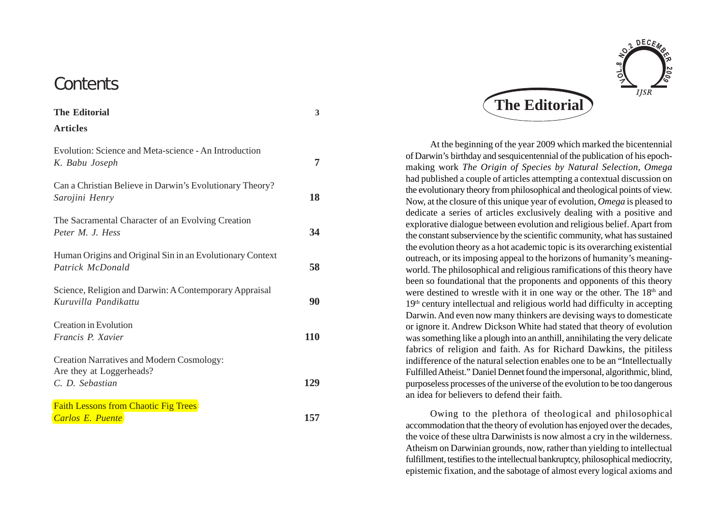# **Contents**

| Evolution: Science and Meta-science - An Introduction<br>K. Babu Joseph                         | 7   |
|-------------------------------------------------------------------------------------------------|-----|
| Can a Christian Believe in Darwin's Evolutionary Theory?<br>Sarojini Henry                      | 18  |
| The Sacramental Character of an Evolving Creation<br>Peter M. J. Hess                           | 34  |
| Human Origins and Original Sin in an Evolutionary Context<br>Patrick McDonald                   | 58  |
| Science, Religion and Darwin: A Contemporary Appraisal<br>Kuruvilla Pandikattu                  | 90  |
| <b>Creation in Evolution</b><br>Francis P. Xavier                                               | 110 |
| <b>Creation Narratives and Modern Cosmology:</b><br>Are they at Loggerheads?<br>C. D. Sebastian | 129 |
| <b>Faith Lessons from Chaotic Fig Trees</b><br><b>Carlos E. Puente</b>                          | 157 |



At the beginning of the year 2009 which marked the bicentennial of Darwin's birthday and sesquicentennial of the publication of his epochmaking work *The Origin of Species by Natural Selection*, *Omega* had published a couple of articles attempting a contextual discussion on the evolutionary theory from philosophical and theological points of view. Now, at the closure of this unique year of evolution, *Omega* is pleased to dedicate a series of articles exclusively dealing with a positive and explorative dialogue between evolution and religious belief. Apart from the constant subservience by the scientific community, what has sustained the evolution theory as a hot academic topic is its overarching existential outreach, or its imposing appeal to the horizons of humanity's meaningworld. The philosophical and religious ramifications of this theory have been so foundational that the proponents and opponents of this theory were destined to wrestle with it in one way or the other. The 18<sup>th</sup> and 19<sup>th</sup> century intellectual and religious world had difficulty in accepting Darwin. And even now many thinkers are devising ways to domesticate or ignore it. Andrew Dickson White had stated that theory of evolution was something like a plough into an anthill, annihilating the very delicate fabrics of religion and faith. As for Richard Dawkins, the pitiless indifference of the natural selection enables one to be an "Intellectually Fulfilled Atheist." Daniel Dennet found the impersonal, algorithmic, blind, purposeless processes of the universe of the evolution to be too dangerous an idea for believers to defend their faith.

Owing to the plethora of theological and philosophical accommodation that the theory of evolution has enjoyed over the decades, the voice of these ultra Darwinists is now almost a cry in the wilderness. Atheism on Darwinian grounds, now, rather than yielding to intellectual fulfillment, testifies to the intellectual bankruptcy, philosophical mediocrity, epistemic fixation, and the sabotage of almost every logical axioms and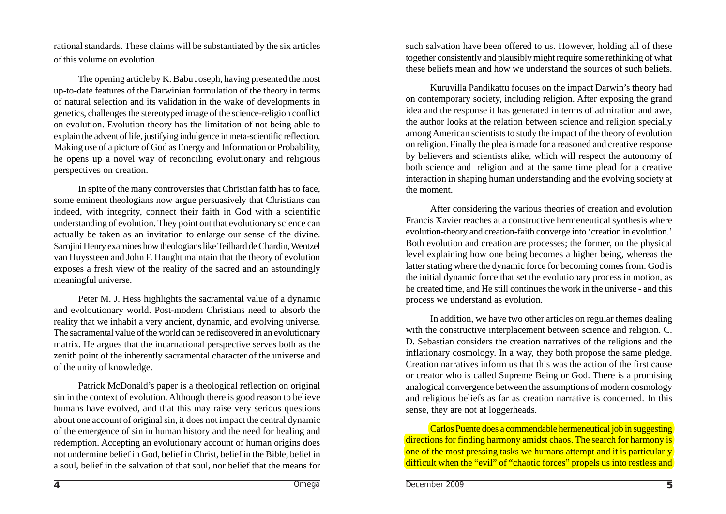rational standards. These claims will be substantiated by the six articles of this volume on evolution.

The opening article by K. Babu Joseph, having presented the most up-to-date features of the Darwinian formulation of the theory in terms of natural selection and its validation in the wake of developments in genetics, challenges the stereotyped image of the science-religion conflict on evolution. Evolution theory has the limitation of not being able to explain the advent of life, justifying indulgence in meta-scientific reflection. Making use of a picture of God as Energy and Information or Probability, he opens up a novel way of reconciling evolutionary and religious perspectives on creation.

In spite of the many controversies that Christian faith has to face, some eminent theologians now argue persuasively that Christians can indeed, with integrity, connect their faith in God with a scientific understanding of evolution. They point out that evolutionary science can actually be taken as an invitation to enlarge our sense of the divine. Sarojini Henry examines how theologians like Teilhard de Chardin, Wentzel van Huyssteen and John F. Haught maintain that the theory of evolution exposes a fresh view of the reality of the sacred and an astoundingly meaningful universe.

Peter M. J. Hess highlights the sacramental value of a dynamic and evoloutionary world. Post-modern Christians need to absorb the reality that we inhabit a very ancient, dynamic, and evolving universe. The sacramental value of the world can be rediscovered in an evolutionary matrix. He argues that the incarnational perspective serves both as the zenith point of the inherently sacramental character of the universe and of the unity of knowledge.

Patrick McDonald's paper is a theological reflection on original sin in the context of evolution. Although there is good reason to believe humans have evolved, and that this may raise very serious questions about one account of original sin, it does not impact the central dynamic of the emergence of sin in human history and the need for healing and redemption. Accepting an evolutionary account of human origins does not undermine belief in God, belief in Christ, belief in the Bible, belief in a soul, belief in the salvation of that soul, nor belief that the means for such salvation have been offered to us. However, holding all of these together consistently and plausibly might require some rethinking of what these beliefs mean and how we understand the sources of such beliefs.

Kuruvilla Pandikattu focuses on the impact Darwin's theory had on contemporary society, including religion. After exposing the grand idea and the response it has generated in terms of admiration and awe, the author looks at the relation between science and religion specially among American scientists to study the impact of the theory of evolution on religion. Finally the plea is made for a reasoned and creative response by believers and scientists alike, which will respect the autonomy of both science and religion and at the same time plead for a creative interaction in shaping human understanding and the evolving society at the moment.

After considering the various theories of creation and evolution Francis Xavier reaches at a constructive hermeneutical synthesis where evolution-theory and creation-faith converge into 'creation in evolution.' Both evolution and creation are processes; the former, on the physical level explaining how one being becomes a higher being, whereas the latter stating where the dynamic force for becoming comes from. God is the initial dynamic force that set the evolutionary process in motion, as he created time, and He still continues the work in the universe - and this process we understand as evolution.

In addition, we have two other articles on regular themes dealing with the constructive interplacement between science and religion. C. D. Sebastian considers the creation narratives of the religions and the inflationary cosmology. In a way, they both propose the same pledge. Creation narratives inform us that this was the action of the first cause or creator who is called Supreme Being or God. There is a promising analogical convergence between the assumptions of modern cosmology and religious beliefs as far as creation narrative is concerned. In this sense, they are not at loggerheads.

Carlos Puente does a commendable hermeneutical job in suggesting directions for finding harmony amidst chaos. The search for harmony is one of the most pressing tasks we humans attempt and it is particularly difficult when the "evil" of "chaotic forces" propels us into restless and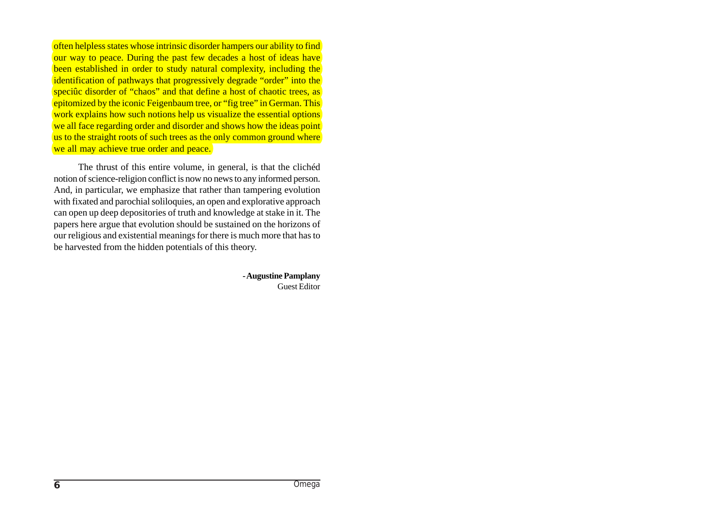often helpless states whose intrinsic disorder hampers our ability to find our way to peace. During the past few decades a host of ideas have been established in order to study natural complexity, including the identification of pathways that progressively degrade "order" into the speciûc disorder of "chaos" and that define a host of chaotic trees, as epitomized by the iconic Feigenbaum tree, or "fig tree" in German. This work explains how such notions help us visualize the essential options we all face regarding order and disorder and shows how the ideas point us to the straight roots of such trees as the only common ground where we all may achieve true order and peace.

The thrust of this entire volume, in general, is that the clichéd notion of science-religion conflict is now no news to any informed person. And, in particular, we emphasize that rather than tampering evolution with fixated and parochial soliloquies, an open and explorative approach can open up deep depositories of truth and knowledge at stake in it. The papers here argue that evolution should be sustained on the horizons of our religious and existential meanings for there is much more that has to be harvested from the hidden potentials of this theory.

> **- Augustine Pamplany** Guest Editor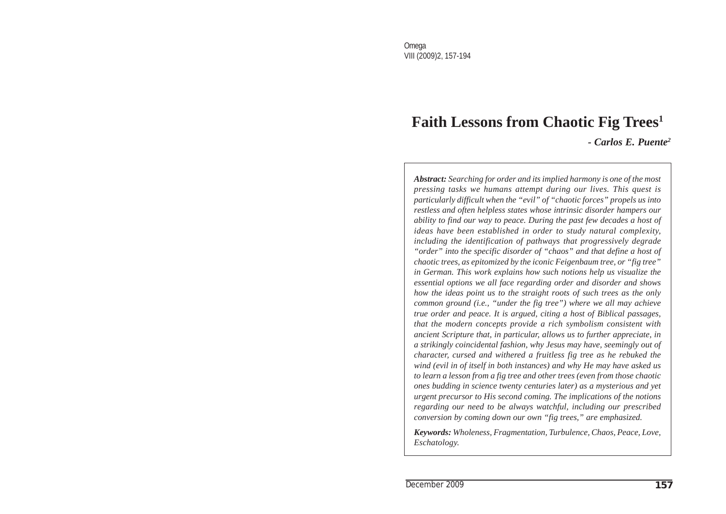# **Faith Lessons from Chaotic Fig Trees1** *- Carlos E. Puente2*

*Abstract: Searching for order and its implied harmony is one of the most pressing tasks we humans attempt during our lives. This quest is particularly difficult when the "evil" of "chaotic forces" propels us into restless and often helpless states whose intrinsic disorder hampers our ability to find our way to peace. During the past few decades a host of ideas have been established in order to study natural complexity, including the identification of pathways that progressively degrade "order" into the specific disorder of "chaos" and that define a host of chaotic trees, as epitomized by the iconic Feigenbaum tree, or "fig tree" in German. This work explains how such notions help us visualize the essential options we all face regarding order and disorder and shows how the ideas point us to the straight roots of such trees as the only common ground (i.e., "under the fig tree") where we all may achieve true order and peace. It is argued, citing a host of Biblical passages, that the modern concepts provide a rich symbolism consistent with ancient Scripture that, in particular, allows us to further appreciate, in a strikingly coincidental fashion, why Jesus may have, seemingly out of character, cursed and withered a fruitless fig tree as he rebuked the wind (evil in of itself in both instances) and why He may have asked us to learn a lesson from a fig tree and other trees (even from those chaotic ones budding in science twenty centuries later) as a mysterious and yet urgent precursor to His second coming. The implications of the notions regarding our need to be always watchful, including our prescribed conversion by coming down our own "fig trees," are emphasized.*

*Keywords: Wholeness, Fragmentation, Turbulence, Chaos, Peace, Love, Eschatology.*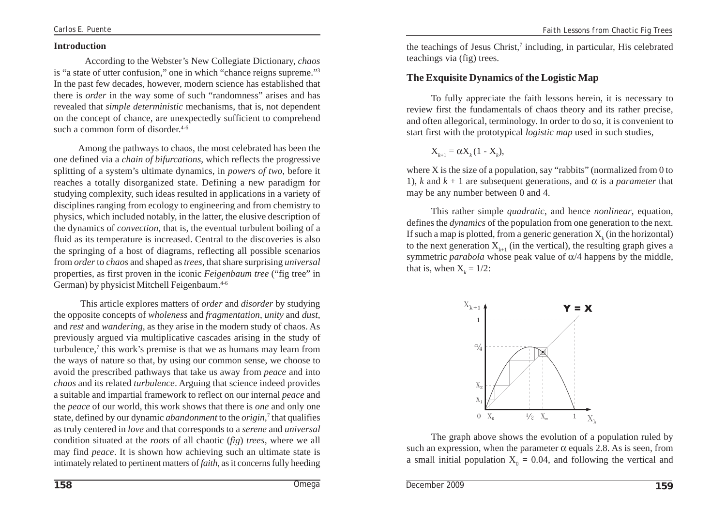#### **Introduction**

According to the Webster's New Collegiate Dictionary, *chaos* is "a state of utter confusion," one in which "chance reigns supreme."3 In the past few decades, however, modern science has established that there is *order* in the way some of such "randomness" arises and has revealed that *simple deterministic* mechanisms, that is, not dependent on the concept of chance, are unexpectedly sufficient to comprehend such a common form of disorder. $4-6$ 

Among the pathways to chaos, the most celebrated has been the one defined via a *chain of bifurcations*, which reflects the progressive splitting of a system's ultimate dynamics, in *powers of two*, before it reaches a totally disorganized state. Defining a new paradigm for studying complexity, such ideas resulted in applications in a variety of disciplines ranging from ecology to engineering and from chemistry to physics, which included notably, in the latter, the elusive description of the dynamics of *convection*, that is, the eventual turbulent boiling of a fluid as its temperature is increased. Central to the discoveries is also the springing of a host of diagrams, reflecting all possible scenarios from *order* to *chaos* and shaped as *trees*, that share surprising *universal* properties, as first proven in the iconic *Feigenbaum tree* ("fig tree" in German) by physicist Mitchell Feigenbaum.<sup>4-6</sup>

 This article explores matters of *order* and *disorder* by studying the opposite concepts of *wholeness* and *fragmentation*, *unity* and *dust*, and *rest* and *wandering*, as they arise in the modern study of chaos. As previously argued via multiplicative cascades arising in the study of turbulence,<sup>7</sup> this work's premise is that we as humans may learn from the ways of nature so that, by using our common sense, we choose to avoid the prescribed pathways that take us away from *peace* and into *chaos* and its related *turbulence*. Arguing that science indeed provides a suitable and impartial framework to reflect on our internal *peace* and the *peace* of our world, this work shows that there is *one* and only one state, defined by our dynamic *abandonment* to the *origin*,<sup>7</sup> that qualifies as truly centered in *love* and that corresponds to a *serene* and *universal* condition situated at the *roots* of all chaotic (*fig*) *trees*, where we all may find *peace*. It is shown how achieving such an ultimate state is intimately related to pertinent matters of *faith*, as it concerns fully heeding

the teachings of Jesus Christ,<sup>7</sup> including, in particular, His celebrated teachings via (fig) trees.

# **The Exquisite Dynamics of the Logistic Map**

To fully appreciate the faith lessons herein, it is necessary to review first the fundamentals of chaos theory and its rather precise, and often allegorical, terminology. In order to do so, it is convenient to start first with the prototypical *logistic map* used in such studies,

$$
X_{k+1} = \alpha X_k (1 - X_k),
$$

where X is the size of a population, say "rabbits" (normalized from 0 to 1), *k* and  $k + 1$  are subsequent generations, and  $\alpha$  is a *parameter* that may be any number between 0 and 4.

This rather simple *quadratic*, and hence *nonlinear*, equation, defines the *dynamics* of the population from one generation to the next. If such a map is plotted, from a generic generation  $X_k$  (in the horizontal) to the next generation  $X_{k+1}$  (in the vertical), the resulting graph gives a symmetric *parabola* whose peak value of  $\alpha/4$  happens by the middle, that is, when  $X_i = 1/2$ :



The graph above shows the evolution of a population ruled by such an expression, when the parameter  $\alpha$  equals 2.8. As is seen, from a small initial population  $X_0 = 0.04$ , and following the vertical and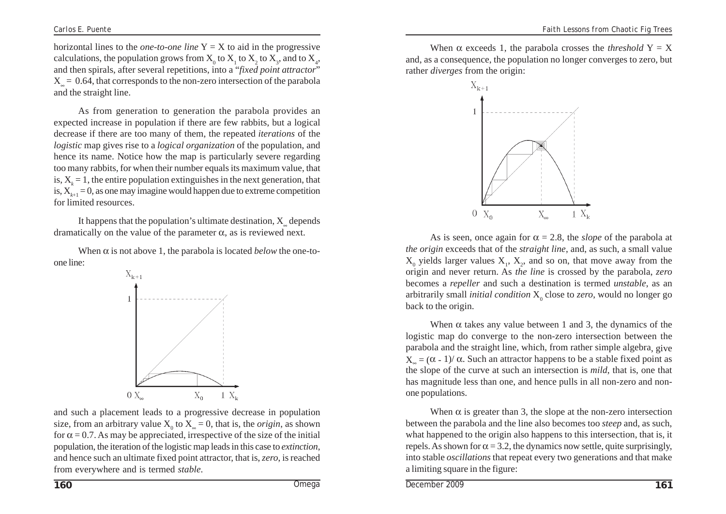horizontal lines to the *one-to-one* line  $Y = X$  to aid in the progressive calculations, the population grows from  $X_0$  to  $X_1$  to  $X_2$  to  $X_3$ , and to  $X_4$ , and then spirals, after several repetitions, into a "*fixed point attractor*"  $X = 0.64$ , that corresponds to the non-zero intersection of the parabola and the straight line.

As from generation to generation the parabola provides an expected increase in population if there are few rabbits, but a logical decrease if there are too many of them, the repeated *iterations* of the *logistic* map gives rise to a *logical organization* of the population, and hence its name. Notice how the map is particularly severe regarding too many rabbits, for when their number equals its maximum value, that is,  $X_k = 1$ , the entire population extinguishes in the next generation, that is,  $X_{k+1} = 0$ , as one may imagine would happen due to extreme competition for limited resources.

It happens that the population's ultimate destination,  $X$  depends dramatically on the value of the parameter  $\alpha$ , as is reviewed next.

When  $\alpha$  is not above 1, the parabola is located *below* the one-toone line:



and such a placement leads to a progressive decrease in population size, from an arbitrary value  $X_0$  to  $X_\infty = 0$ , that is, the *origin*, as shown for  $\alpha = 0.7$ . As may be appreciated, irrespective of the size of the initial population, the iteration of the logistic map leads in this case to *extinction*, and hence such an ultimate fixed point attractor, that is, *zero*, is reached from everywhere and is termed *stable.*

When  $\alpha$  exceeds 1, the parabola crosses the *threshold*  $Y = X$ and, as a consequence, the population no longer converges to zero, but rather *diverges* from the origin:



As is seen, once again for  $\alpha = 2.8$ , the *slope* of the parabola at *the origin* exceeds that of the *straight line*, and, as such, a small value  $X_0$  yields larger values  $X_1$ ,  $X_2$ , and so on, that move away from the origin and never return. As *the line* is crossed by the parabola, *zero* becomes a *repeller* and such a destination is termed *unstable*, as an arbitrarily small *initial condition*  $X_0$  close to *zero*, would no longer go back to the origin.

When  $\alpha$  takes any value between 1 and 3, the dynamics of the logistic map do converge to the non-zero intersection between the parabola and the straight line, which, from rather simple algebra, give  $X = (α - 1)/α$ . Such an attractor happens to be a stable fixed point as the slope of the curve at such an intersection is *mild*, that is, one that has magnitude less than one, and hence pulls in all non-zero and nonone populations.

When  $\alpha$  is greater than 3, the slope at the non-zero intersection between the parabola and the line also becomes too *steep* and, as such, what happened to the origin also happens to this intersection, that is, it repels. As shown for  $\alpha = 3.2$ , the dynamics now settle, quite surprisingly, into stable *oscillations* that repeat every two generations and that make a limiting square in the figure: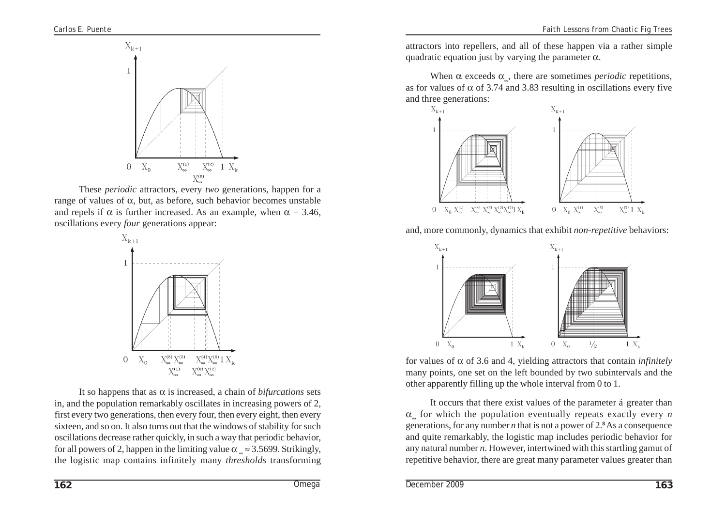

These *periodic* attractors, every *two* generations, happen for a range of values of α, but, as before, such behavior becomes unstable and repels if  $\alpha$  is further increased. As an example, when  $\alpha = 3.46$ , oscillations every *four* generations appear:



It so happens that as  $\alpha$  is increased, a chain of *bifurcations* sets in, and the population remarkably oscillates in increasing powers of 2, first every two generations, then every four, then every eight, then every sixteen, and so on. It also turns out that the windows of stability for such oscillations decrease rather quickly, in such a way that periodic behavior, for all powers of 2, happen in the limiting value  $\alpha_{\perp} \approx 3.5699$ . Strikingly, the logistic map contains infinitely many *thresholds* transforming

attractors into repellers, and all of these happen via a rather simple quadratic equation just by varying the parameter  $\alpha$ .

When  $\alpha$  exceeds  $\alpha_{\alpha}$ , there are sometimes *periodic* repetitions, as for values of  $\alpha$  of 3.74 and 3.83 resulting in oscillations every five and three generations:



and, more commonly, dynamics that exhibit *non-repetitive* behaviors:



for values of  $\alpha$  of 3.6 and 4, yielding attractors that contain *infinitely* many points, one set on the left bounded by two subintervals and the other apparently filling up the whole interval from 0 to 1.

It occurs that there exist values of the parameter á greater than α∞ for which the population eventually repeats exactly every *n* generations, for any number  $n$  that is not a power of  $2.8$  As a consequence and quite remarkably, the logistic map includes periodic behavior for any natural number *n*. However, intertwined with this startling gamut of repetitive behavior, there are great many parameter values greater than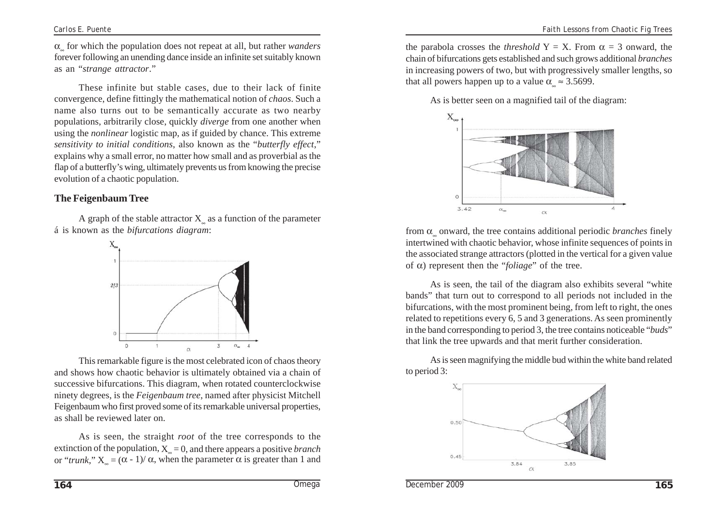α∞ for which the population does not repeat at all, but rather *wanders* forever following an unending dance inside an infinite set suitably known as an "*strange attractor*."

These infinite but stable cases, due to their lack of finite convergence, define fittingly the mathematical notion of *chaos*. Such a name also turns out to be semantically accurate as two nearby populations, arbitrarily close, quickly *diverge* from one another when using the *nonlinear* logistic map, as if guided by chance. This extreme *sensitivity to initial conditions*, also known as the "*butterfly effect*," explains why a small error, no matter how small and as proverbial as the flap of a butterfly's wing, ultimately prevents us from knowing the precise evolution of a chaotic population.

# **The Feigenbaum Tree**

A graph of the stable attractor  $X$  as a function of the parameter á is known as the *bifurcations diagram*:



This remarkable figure is the most celebrated icon of chaos theory and shows how chaotic behavior is ultimately obtained via a chain of successive bifurcations. This diagram, when rotated counterclockwise ninety degrees, is the *Feigenbaum tree*, named after physicist Mitchell Feigenbaum who first proved some of its remarkable universal properties, as shall be reviewed later on.

As is seen, the straight *root* of the tree corresponds to the extinction of the population,  $X_{\sim} = 0$ , and there appears a positive *branch* or "*trunk*,"  $X_0 = (α - 1)/α$ , when the parameter α is greater than 1 and

the parabola crosses the *threshold*  $Y = X$ . From  $\alpha = 3$  onward, the chain of bifurcations gets established and such grows additional *branches* in increasing powers of two, but with progressively smaller lengths, so that all powers happen up to a value  $\alpha \approx 3.5699$ .

As is better seen on a magnified tail of the diagram:



from  $\alpha$  onward, the tree contains additional periodic *branches* finely intertwined with chaotic behavior, whose infinite sequences of points in the associated strange attractors (plotted in the vertical for a given value of α) represent then the "*foliage*" of the tree.

As is seen, the tail of the diagram also exhibits several "white bands" that turn out to correspond to all periods not included in the bifurcations, with the most prominent being, from left to right, the ones related to repetitions every 6, 5 and 3 generations. As seen prominently in the band corresponding to period 3, the tree contains noticeable "*buds*" that link the tree upwards and that merit further consideration.

As is seen magnifying the middle bud within the white band related to period 3:

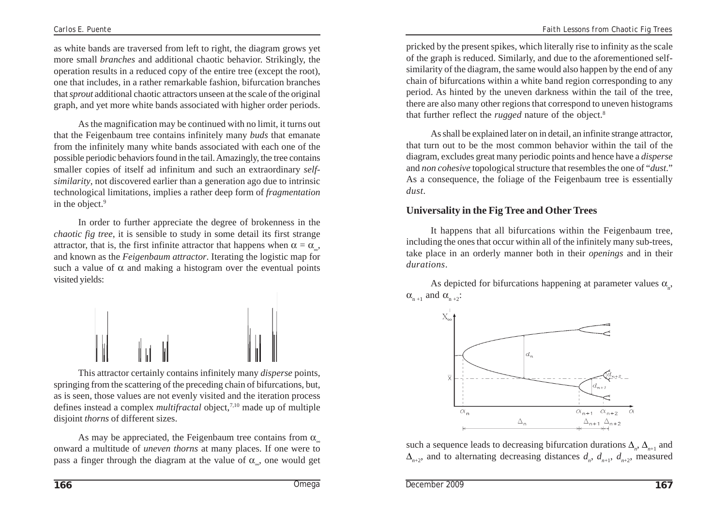as white bands are traversed from left to right, the diagram grows yet more small *branches* and additional chaotic behavior. Strikingly, the operation results in a reduced copy of the entire tree (except the root), one that includes, in a rather remarkable fashion, bifurcation branches that *sprout* additional chaotic attractors unseen at the scale of the original graph, and yet more white bands associated with higher order periods.

As the magnification may be continued with no limit, it turns out that the Feigenbaum tree contains infinitely many *buds* that emanate from the infinitely many white bands associated with each one of the possible periodic behaviors found in the tail. Amazingly, the tree contains smaller copies of itself ad infinitum and such an extraordinary *selfsimilarity*, not discovered earlier than a generation ago due to intrinsic technological limitations, implies a rather deep form of *fragmentation* in the object.<sup>9</sup>

In order to further appreciate the degree of brokenness in the *chaotic fig tree*, it is sensible to study in some detail its first strange attractor, that is, the first infinite attractor that happens when  $\alpha = \alpha$ , and known as the *Feigenbaum attractor*. Iterating the logistic map for such a value of  $\alpha$  and making a histogram over the eventual points visited yields:



This attractor certainly contains infinitely many *disperse* points, springing from the scattering of the preceding chain of bifurcations, but, as is seen, those values are not evenly visited and the iteration process defines instead a complex *multifractal* object,7,10 made up of multiple disjoint *thorns* of different sizes.

As may be appreciated, the Feigenbaum tree contains from  $\alpha$ onward a multitude of *uneven thorns* at many places. If one were to pass a finger through the diagram at the value of  $\alpha_{\mu}$ , one would get pricked by the present spikes, which literally rise to infinity as the scale of the graph is reduced. Similarly, and due to the aforementioned selfsimilarity of the diagram, the same would also happen by the end of any chain of bifurcations within a white band region corresponding to any period. As hinted by the uneven darkness within the tail of the tree, there are also many other regions that correspond to uneven histograms that further reflect the *rugged* nature of the object.<sup>8</sup>

As shall be explained later on in detail, an infinite strange attractor, that turn out to be the most common behavior within the tail of the diagram, excludes great many periodic points and hence have a *disperse* and *non cohesive* topological structure that resembles the one of "*dust*." As a consequence, the foliage of the Feigenbaum tree is essentially *dust*.

# **Universality in the Fig Tree and Other Trees**

It happens that all bifurcations within the Feigenbaum tree, including the ones that occur within all of the infinitely many sub-trees, take place in an orderly manner both in their *openings* and in their *durations*.

As depicted for bifurcations happening at parameter values  $\alpha_{n}$ ,  $\alpha_{n+1}$  and  $\alpha_{n+2}$ :



such a sequence leads to decreasing bifurcation durations  $\Delta_{n}$ ,  $\Delta_{n+1}$  and  $\Delta_{n+2}$ , and to alternating decreasing distances  $d_n$ ,  $d_{n+1}$ ,  $d_{n+2}$ , measured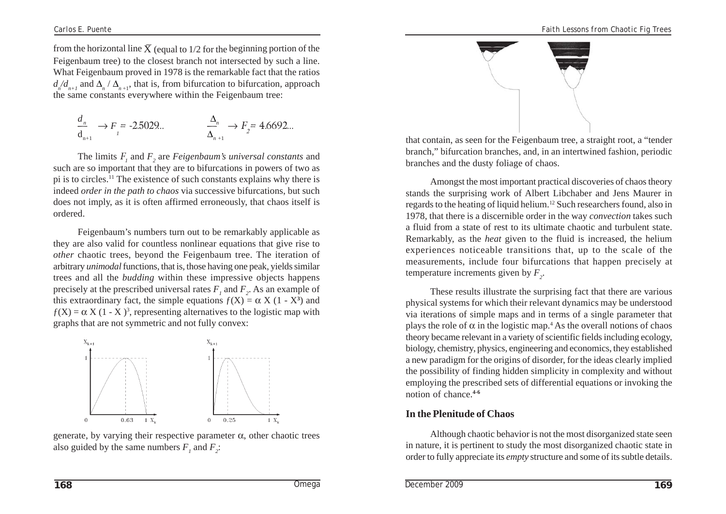from the horizontal line  $X$  (equal to 1/2 for the beginning portion of the Feigenbaum tree) to the closest branch not intersected by such a line. What Feigenbaum proved in 1978 is the remarkable fact that the ratios  $d_n/d_{n+1}$  and  $\Delta_n / \Delta_{n+1}$ , that is, from bifurcation to bifurcation, approach the same constants everywhere within the Feigenbaum tree:

$$
\frac{d_n}{d_{n+1}} \to F = -2.5029...
$$
\n
$$
\frac{\Delta_n}{\Delta_{n+1}} \to F_2 = 4.6692...
$$

The limits  $F_{1}$  and  $F_{2}$  are *Feigenbaum's universal constants* and such are so important that they are to bifurcations in powers of two as pi is to circles.11 The existence of such constants explains why there is indeed *order in the path to chaos* via successive bifurcations, but such does not imply, as it is often affirmed erroneously, that chaos itself is ordered.

Feigenbaum's numbers turn out to be remarkably applicable as they are also valid for countless nonlinear equations that give rise to *other* chaotic trees, beyond the Feigenbaum tree. The iteration of arbitrary *unimodal* functions, that is, those having one peak, yields similar trees and all the *budding* within these impressive objects happens precisely at the prescribed universal rates  $F_1$  and  $F_2$ . As an example of this extraordinary fact, the simple equations  $f(X) = \alpha X (1 - X^3)$  and  $f(X) = \alpha X (1 - X)^3$ , representing alternatives to the logistic map with graphs that are not symmetric and not fully convex:



generate, by varying their respective parameter  $\alpha$ , other chaotic trees also guided by the same numbers  $F_1$  and  $F_2$ :



that contain, as seen for the Feigenbaum tree, a straight root, a "tender branch," bifurcation branches, and, in an intertwined fashion, periodic branches and the dusty foliage of chaos.

Amongst the most important practical discoveries of chaos theory stands the surprising work of Albert Libchaber and Jens Maurer in regards to the heating of liquid helium.12 Such researchers found, also in 1978, that there is a discernible order in the way *convection* takes such a fluid from a state of rest to its ultimate chaotic and turbulent state. Remarkably, as the *heat* given to the fluid is increased, the helium experiences noticeable transitions that, up to the scale of the measurements, include four bifurcations that happen precisely at temperature increments given by  $F_2$ .

These results illustrate the surprising fact that there are various physical systems for which their relevant dynamics may be understood via iterations of simple maps and in terms of a single parameter that plays the role of  $\alpha$  in the logistic map.<sup>4</sup> As the overall notions of chaos theory became relevant in a variety of scientific fields including ecology, biology, chemistry, physics, engineering and economics, they established a new paradigm for the origins of disorder, for the ideas clearly implied the possibility of finding hidden simplicity in complexity and without employing the prescribed sets of differential equations or invoking the notion of chance.**4-6**

#### **In the Plenitude of Chaos**

Although chaotic behavior is not the most disorganized state seen in nature, it is pertinent to study the most disorganized chaotic state in order to fully appreciate its *empty* structure and some of its subtle details.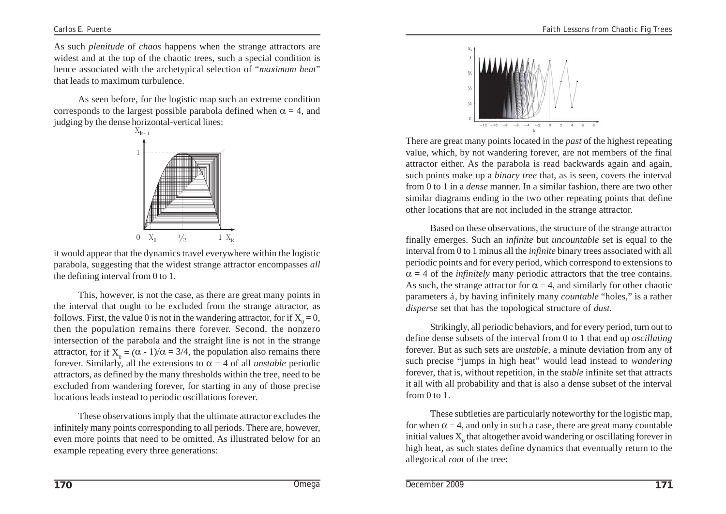As such *plenitude* of *chaos* happens when the strange attractors are widest and at the top of the chaotic trees, such a special condition is hence associated with the archetypical selection of "*maximum heat*" that leads to maximum turbulence.

As seen before, for the logistic map such an extreme condition corresponds to the largest possible parabola defined when  $\alpha = 4$ , and judging by the dense horizontal-vertical lines:



it would appear that the dynamics travel everywhere within the logistic parabola, suggesting that the widest strange attractor encompasses *all* the defining interval from 0 to 1.

This, however, is not the case, as there are great many points in the interval that ought to be excluded from the strange attractor, as follows. First, the value 0 is not in the wandering attractor, for if  $X_0 = 0$ , then the population remains there forever. Second, the nonzero intersection of the parabola and the straight line is not in the strange attractor, for if  $X_0 = (\alpha - 1)/\alpha = 3/4$ , the population also remains there forever. Similarly, all the extensions to  $\alpha = 4$  of all *unstable* periodic attractors, as defined by the many thresholds within the tree, need to be excluded from wandering forever, for starting in any of those precise locations leads instead to periodic oscillations forever.

These observations imply that the ultimate attractor excludes the infinitely many points corresponding to all periods. There are, however, even more points that need to be omitted. As illustrated below for an example repeating every three generations:



There are great many points located in the *past* of the highest repeating value, which, by not wandering forever, are not members of the final attractor either. As the parabola is read backwards again and again, such points make up a *binary tree* that, as is seen, covers the interval from 0 to 1 in a *dense* manner. In a similar fashion, there are two other similar diagrams ending in the two other repeating points that define other locations that are not included in the strange attractor.

Based on these observations, the structure of the strange attractor finally emerges. Such an *infinite* but *uncountable* set is equal to the interval from 0 to 1 minus all the *infinite* binary trees associated with all periodic points and for every period, which correspond to extensions to  $\alpha = 4$  of the *infinitely* many periodic attractors that the tree contains. As such, the strange attractor for  $\alpha = 4$ , and similarly for other chaotic parameters á, by having infinitely many *countable* "holes," is a rather *disperse* set that has the topological structure of *dust*.

Strikingly, all periodic behaviors, and for every period, turn out to define dense subsets of the interval from 0 to 1 that end up *oscillating* forever. But as such sets are *unstable*, a minute deviation from any of such precise "jumps in high heat" would lead instead to *wandering* forever, that is, without repetition, in the *stable* infinite set that attracts it all with all probability and that is also a dense subset of the interval from  $0$  to  $1$ .

These subtleties are particularly noteworthy for the logistic map, for when  $\alpha = 4$ , and only in such a case, there are great many countable initial values  $\mathbf{X}_0$  that altogether avoid wandering or oscillating forever in high heat, as such states define dynamics that eventually return to the allegorical *root* of the tree: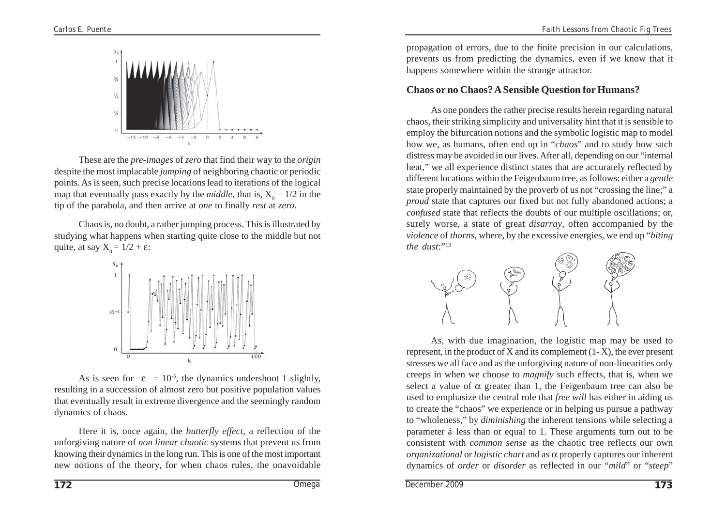

These are the *pre-images* of *zero* that find their way to the *origin* despite the most implacable *jumping* of neighboring chaotic or periodic points. As is seen, such precise locations lead to iterations of the logical map that eventually pass exactly by the *middle*, that is,  $X_0 = 1/2$  in the tip of the parabola, and then arrive at *one* to finally *rest* at *zero*.

Chaos is, no doubt, a rather jumping process. This is illustrated by studying what happens when starting quite close to the middle but not quite, at say  $X_0 = 1/2 + \varepsilon$ :



As is seen for  $\varepsilon = 10^{-5}$ , the dynamics undershoot 1 slightly, resulting in a succession of almost zero but positive population values that eventually result in extreme divergence and the seemingly random dynamics of chaos.

Here it is, once again, the *butterfly effect*, a reflection of the unforgiving nature of *non linear chaotic* systems that prevent us from knowing their dynamics in the long run. This is one of the most important new notions of the theory, for when chaos rules, the unavoidable

propagation of errors, due to the finite precision in our calculations, prevents us from predicting the dynamics, even if we know that it happens somewhere within the strange attractor.

#### **Chaos or no Chaos? A Sensible Question for Humans?**

As one ponders the rather precise results herein regarding natural chaos, their striking simplicity and universality hint that it is sensible to employ the bifurcation notions and the symbolic logistic map to model how we, as humans, often end up in "*chaos*" and to study how such distress may be avoided in our lives. After all, depending on our "internal heat," we all experience distinct states that are accurately reflected by different locations within the Feigenbaum tree, as follows: either a *gentle* state properly maintained by the proverb of us not "crossing the line;" a *proud* state that captures our fixed but not fully abandoned actions; a *confused* state that reflects the doubts of our multiple oscillations; or, surely worse, a state of great *disarray*, often accompanied by the *violence* of *thorns*, where, by the excessive energies, we end up "*biting the dust*:"<sup>13</sup>



As, with due imagination, the logistic map may be used to represent, in the product of X and its complement (1- X), the ever present stresses we all face and as the unforgiving nature of non-linearities only creeps in when we choose to *magnify* such effects, that is, when we select a value of  $\alpha$  greater than 1, the Feigenbaum tree can also be used to emphasize the central role that *free will* has either in aiding us to create the "chaos" we experience or in helping us pursue a pathway to "wholeness," by *diminishing* the inherent tensions while selecting a parameter á less than or equal to 1. These arguments turn out to be consistent with *common sense* as the chaotic tree reflects our own *organizational* or *logistic chart* and as α properly captures our inherent dynamics of *order* or *disorder* as reflected in our "*mild*" or "*steep*"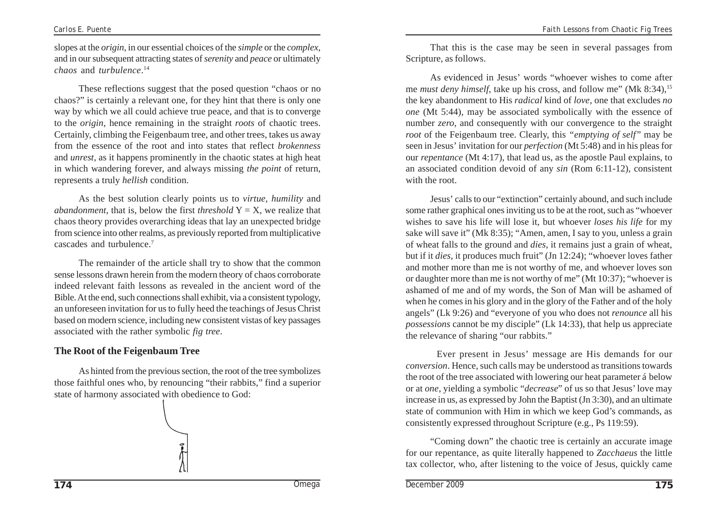slopes at the *origin*, in our essential choices of the *simple* or the *complex*, and in our subsequent attracting states of *serenity* and *peace* or ultimately *chaos* and *turbulence*. 14

These reflections suggest that the posed question "chaos or no chaos?" is certainly a relevant one, for they hint that there is only one way by which we all could achieve true peace, and that is to converge to the *origin*, hence remaining in the straight *roots* of chaotic trees. Certainly, climbing the Feigenbaum tree, and other trees, takes us away from the essence of the root and into states that reflect *brokenness* and *unrest*, as it happens prominently in the chaotic states at high heat in which wandering forever, and always missing *the point* of return, represents a truly *hellish* condition.

As the best solution clearly points us to *virtue*, *humility* and *abandonment*, that is, below the first *threshold*  $Y = X$ , we realize that chaos theory provides overarching ideas that lay an unexpected bridge from science into other realms, as previously reported from multiplicative cascades and turbulence.7

The remainder of the article shall try to show that the common sense lessons drawn herein from the modern theory of chaos corroborate indeed relevant faith lessons as revealed in the ancient word of the Bible. At the end, such connections shall exhibit, via a consistent typology, an unforeseen invitation for us to fully heed the teachings of Jesus Christ based on modern science, including new consistent vistas of key passages associated with the rather symbolic *fig tree*.

# **The Root of the Feigenbaum Tree**

As hinted from the previous section, the root of the tree symbolizes those faithful ones who, by renouncing "their rabbits," find a superior state of harmony associated with obedience to God:



That this is the case may be seen in several passages from Scripture, as follows.

As evidenced in Jesus' words "whoever wishes to come after me *must deny himself*, take up his cross, and follow me" (Mk 8:34), <sup>15</sup> the key abandonment to His *radical* kind of *love*, one that excludes *no one* (Mt 5:44), may be associated symbolically with the essence of number *zero*, and consequently with our convergence to the straight *root* of the Feigenbaum tree. Clearly, this *"emptying of self"* may be seen in Jesus' invitation for our *perfection* (Mt 5:48) and in his pleas for our *repentance* (Mt 4:17), that lead us, as the apostle Paul explains, to an associated condition devoid of any *sin* (Rom 6:11-12), consistent with the root.

Jesus' calls to our "extinction" certainly abound, and such include some rather graphical ones inviting us to be at the root, such as "whoever wishes to save his life will lose it, but whoever *loses his life* for my sake will save it" (Mk 8:35); "Amen, amen, I say to you, unless a grain of wheat falls to the ground and *dies*, it remains just a grain of wheat, but if it *dies*, it produces much fruit" (Jn 12:24); "whoever loves father and mother more than me is not worthy of me, and whoever loves son or daughter more than me is not worthy of me" (Mt 10:37); "whoever is ashamed of me and of my words, the Son of Man will be ashamed of when he comes in his glory and in the glory of the Father and of the holy angels" (Lk 9:26) and "everyone of you who does not *renounce* all his *possessions* cannot be my disciple" (Lk 14:33), that help us appreciate the relevance of sharing "our rabbits."

Ever present in Jesus' message are His demands for our *conversion*. Hence, such calls may be understood as transitions towards the root of the tree associated with lowering our heat parameter á below or at *one*, yielding a symbolic "*decrease*" of us so that Jesus' love may increase in us, as expressed by John the Baptist (Jn 3:30), and an ultimate state of communion with Him in which we keep God's commands, as consistently expressed throughout Scripture (e.g., Ps 119:59).

"Coming down" the chaotic tree is certainly an accurate image for our repentance, as quite literally happened to *Zacchaeus* the little tax collector, who, after listening to the voice of Jesus, quickly came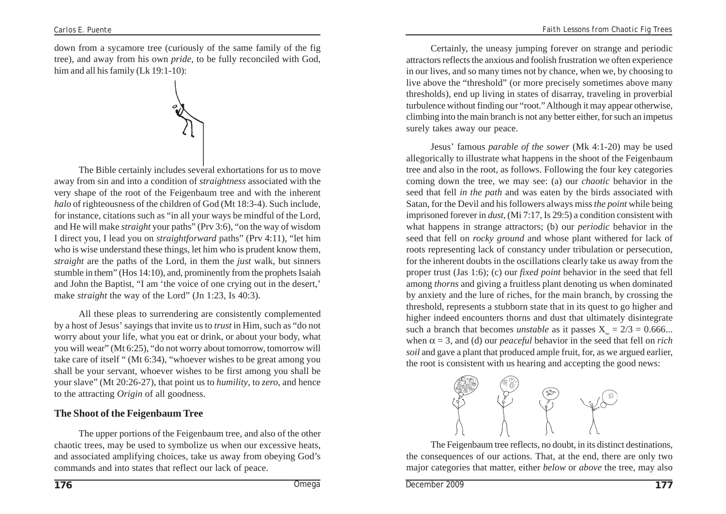down from a sycamore tree (curiously of the same family of the fig tree), and away from his own *pride*, to be fully reconciled with God, him and all his family (Lk 19:1-10):



The Bible certainly includes several exhortations for us to move away from sin and into a condition of *straightness* associated with the very shape of the root of the Feigenbaum tree and with the inherent *halo* of righteousness of the children of God (Mt 18:3-4). Such include, for instance, citations such as "in all your ways be mindful of the Lord, and He will make *straight* your paths" (Prv 3:6), "on the way of wisdom I direct you, I lead you on *straightforward* paths" (Prv 4:11), "let him who is wise understand these things, let him who is prudent know them, *straight* are the paths of the Lord, in them the *just* walk, but sinners stumble in them" (Hos 14:10), and, prominently from the prophets Isaiah and John the Baptist, "I am 'the voice of one crying out in the desert,' make *straight* the way of the Lord" (Jn 1:23, Is 40:3).

All these pleas to surrendering are consistently complemented by a host of Jesus' sayings that invite us to *trust* in Him, such as "do not worry about your life, what you eat or drink, or about your body, what you will wear" (Mt 6:25), "do not worry about tomorrow, tomorrow will take care of itself " (Mt 6:34), "whoever wishes to be great among you shall be your servant, whoever wishes to be first among you shall be your slave" (Mt 20:26-27), that point us to *humility*, to *zero*, and hence to the attracting *Origin* of all goodness.

#### **The Shoot of the Feigenbaum Tree**

The upper portions of the Feigenbaum tree, and also of the other chaotic trees, may be used to symbolize us when our excessive heats, and associated amplifying choices, take us away from obeying God's commands and into states that reflect our lack of peace.

Certainly, the uneasy jumping forever on strange and periodic attractors reflects the anxious and foolish frustration we often experience in our lives, and so many times not by chance, when we, by choosing to live above the "threshold" (or more precisely sometimes above many thresholds), end up living in states of disarray, traveling in proverbial turbulence without finding our "root." Although it may appear otherwise, climbing into the main branch is not any better either, for such an impetus surely takes away our peace.

Jesus' famous *parable of the sower* (Mk 4:1-20) may be used allegorically to illustrate what happens in the shoot of the Feigenbaum tree and also in the root, as follows. Following the four key categories coming down the tree, we may see: (a) our *chaotic* behavior in the seed that fell *in the path* and was eaten by the birds associated with Satan, for the Devil and his followers always miss *the point* while being imprisoned forever in *dust*, (Mi 7:17, Is 29:5) a condition consistent with what happens in strange attractors; (b) our *periodic* behavior in the seed that fell on *rocky ground* and whose plant withered for lack of roots representing lack of constancy under tribulation or persecution, for the inherent doubts in the oscillations clearly take us away from the proper trust (Jas 1:6); (c) our *fixed point* behavior in the seed that fell among *thorns* and giving a fruitless plant denoting us when dominated by anxiety and the lure of riches, for the main branch, by crossing the threshold, represents a stubborn state that in its quest to go higher and higher indeed encounters thorns and dust that ultimately disintegrate such a branch that becomes *unstable* as it passes  $X = 2/3 = 0.666...$ when  $\alpha = 3$ , and (d) our *peaceful* behavior in the seed that fell on *rich soil* and gave a plant that produced ample fruit, for, as we argued earlier, the root is consistent with us hearing and accepting the good news:



The Feigenbaum tree reflects, no doubt, in its distinct destinations, the consequences of our actions. That, at the end, there are only two major categories that matter, either *below* or *above* the tree, may also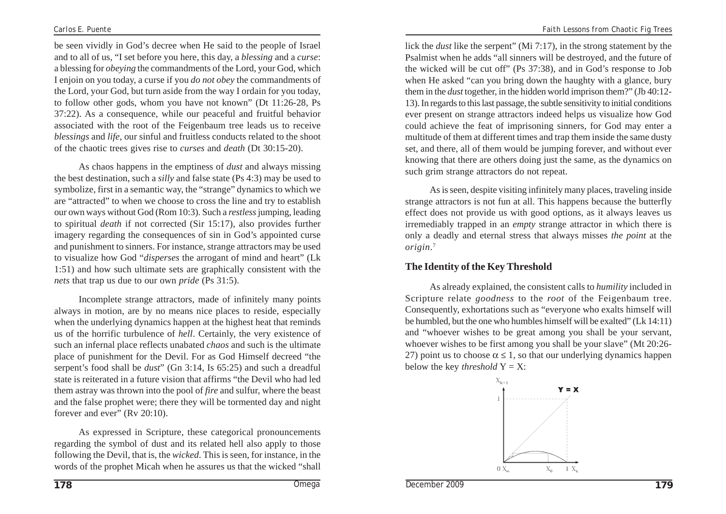be seen vividly in God's decree when He said to the people of Israel and to all of us, "I set before you here, this day, a *blessing* and a *curse*: a blessing for *obeying* the commandments of the Lord, your God, which I enjoin on you today, a curse if you *do not obey* the commandments of the Lord, your God, but turn aside from the way I ordain for you today, to follow other gods, whom you have not known" (Dt 11:26-28, Ps 37:22). As a consequence, while our peaceful and fruitful behavior associated with the root of the Feigenbaum tree leads us to receive *blessings* and *life*, our sinful and fruitless conducts related to the shoot of the chaotic trees gives rise to *curses* and *death* (Dt 30:15-20).

As chaos happens in the emptiness of *dust* and always missing the best destination, such a *silly* and false state (Ps 4:3) may be used to symbolize, first in a semantic way, the "strange" dynamics to which we are "attracted" to when we choose to cross the line and try to establish our own ways without God (Rom 10:3). Such a *restless* jumping, leading to spiritual *death* if not corrected (Sir 15:17), also provides further imagery regarding the consequences of sin in God's appointed curse and punishment to sinners. For instance, strange attractors may be used to visualize how God "*disperses* the arrogant of mind and heart" (Lk 1:51) and how such ultimate sets are graphically consistent with the *nets* that trap us due to our own *pride* (Ps 31:5).

Incomplete strange attractors, made of infinitely many points always in motion, are by no means nice places to reside, especially when the underlying dynamics happen at the highest heat that reminds us of the horrific turbulence of *hell*. Certainly, the very existence of such an infernal place reflects unabated *chaos* and such is the ultimate place of punishment for the Devil. For as God Himself decreed "the serpent's food shall be *dust*" (Gn 3:14, Is 65:25) and such a dreadful state is reiterated in a future vision that affirms "the Devil who had led them astray was thrown into the pool of *fire* and sulfur, where the beast and the false prophet were; there they will be tormented day and night forever and ever" (Rv 20:10).

As expressed in Scripture, these categorical pronouncements regarding the symbol of dust and its related hell also apply to those following the Devil, that is, the *wicked*. This is seen, for instance, in the words of the prophet Micah when he assures us that the wicked "shall

lick the *dust* like the serpent" (Mi 7:17), in the strong statement by the Psalmist when he adds "all sinners will be destroyed, and the future of the wicked will be cut off" (Ps 37:38), and in God's response to Job when He asked "can you bring down the haughty with a glance, bury them in the *dust* together, in the hidden world imprison them?" (Jb 40:12- 13). In regards to this last passage, the subtle sensitivity to initial conditions ever present on strange attractors indeed helps us visualize how God could achieve the feat of imprisoning sinners, for God may enter a multitude of them at different times and trap them inside the same dusty set, and there, all of them would be jumping forever, and without ever knowing that there are others doing just the same, as the dynamics on such grim strange attractors do not repeat.

As is seen, despite visiting infinitely many places, traveling inside strange attractors is not fun at all. This happens because the butterfly effect does not provide us with good options, as it always leaves us irremediably trapped in an *empty* strange attractor in which there is only a deadly and eternal stress that always misses *the point* at the *origin*. 7

#### **The Identity of the Key Threshold**

As already explained, the consistent calls to *humility* included in Scripture relate *goodness* to the *root* of the Feigenbaum tree. Consequently, exhortations such as "everyone who exalts himself will be humbled, but the one who humbles himself will be exalted" (Lk 14:11) and "whoever wishes to be great among you shall be your servant, whoever wishes to be first among you shall be your slave" (Mt 20:26- 27) point us to choose  $\alpha \leq 1$ , so that our underlying dynamics happen below the key *threshold*  $Y = X$ :

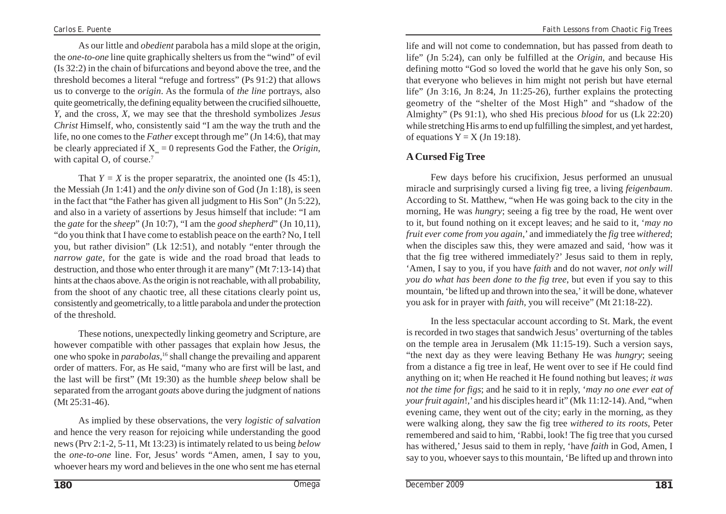As our little and *obedient* parabola has a mild slope at the origin, the *one-to-one* line quite graphically shelters us from the "wind" of evil (Is 32:2) in the chain of bifurcations and beyond above the tree, and the threshold becomes a literal "refuge and fortress" (Ps 91:2) that allows us to converge to the *origin*. As the formula of *the line* portrays, also quite geometrically, the defining equality between the crucified silhouette, *Y*, and the cross, *X*, we may see that the threshold symbolizes *Jesus Christ* Himself, who, consistently said "I am the way the truth and the life, no one comes to the *Father* except through me" (Jn 14:6), that may be clearly appreciated if  $X_{\alpha} = 0$  represents God the Father, the *Origin*, with capital O, of course.<sup>7</sup>

That  $Y = X$  is the proper separatrix, the anointed one (Is 45:1), the Messiah (Jn 1:41) and the *only* divine son of God (Jn 1:18), is seen in the fact that "the Father has given all judgment to His Son" (Jn 5:22), and also in a variety of assertions by Jesus himself that include: "I am the *gate* for the *sheep*" (Jn 10:7), "I am the *good shepherd*" (Jn 10,11), "do you think that I have come to establish peace on the earth? No, I tell you, but rather division" (Lk 12:51), and notably "enter through the *narrow gate*, for the gate is wide and the road broad that leads to destruction, and those who enter through it are many" (Mt 7:13-14) that hints at the chaos above. As the origin is not reachable, with all probability, from the shoot of any chaotic tree, all these citations clearly point us, consistently and geometrically, to a little parabola and under the protection of the threshold.

These notions, unexpectedly linking geometry and Scripture, are however compatible with other passages that explain how Jesus, the one who spoke in *parabolas*, 16 shall change the prevailing and apparent order of matters. For, as He said, "many who are first will be last, and the last will be first" (Mt 19:30) as the humble *sheep* below shall be separated from the arrogant *goats* above during the judgment of nations (Mt 25:31-46).

As implied by these observations, the very *logistic of salvation* and hence the very reason for rejoicing while understanding the good news (Prv 2:1-2, 5-11, Mt 13:23) is intimately related to us being *below* the *one-to-one* line. For, Jesus' words "Amen, amen, I say to you, whoever hears my word and believes in the one who sent me has eternal

life and will not come to condemnation, but has passed from death to life" (Jn 5:24), can only be fulfilled at the *Origin*, and because His defining motto "God so loved the world that he gave his only Son, so that everyone who believes in him might not perish but have eternal life" (Jn 3:16, Jn 8:24, Jn 11:25-26), further explains the protecting geometry of the "shelter of the Most High" and "shadow of the Almighty" (Ps 91:1), who shed His precious *blood* for us (Lk 22:20) while stretching His arms to end up fulfilling the simplest, and yet hardest, of equations  $Y = X (Jn 19:18)$ .

# **A Cursed Fig Tree**

Few days before his crucifixion, Jesus performed an unusual miracle and surprisingly cursed a living fig tree, a living *feigenbaum*. According to St. Matthew, "when He was going back to the city in the morning, He was *hungry*; seeing a fig tree by the road, He went over to it, but found nothing on it except leaves; and he said to it, '*may no fruit ever come from you again*,' and immediately the *fig* tree *withered*; when the disciples saw this, they were amazed and said, 'how was it that the fig tree withered immediately?' Jesus said to them in reply, 'Amen, I say to you, if you have *faith* and do not waver, *not only will you do what has been done to the fig tree*, but even if you say to this mountain, 'be lifted up and thrown into the sea,' it will be done, whatever you ask for in prayer with *faith*, you will receive" (Mt 21:18-22).

In the less spectacular account according to St. Mark, the event is recorded in two stages that sandwich Jesus' overturning of the tables on the temple area in Jerusalem (Mk 11:15-19). Such a version says, "the next day as they were leaving Bethany He was *hungry*; seeing from a distance a fig tree in leaf, He went over to see if He could find anything on it; when He reached it He found nothing but leaves; *it was not the time for figs*; and he said to it in reply, '*may no one ever eat of your fruit again*!,' and his disciples heard it" (Mk 11:12-14). And, "when evening came, they went out of the city; early in the morning, as they were walking along, they saw the fig tree *withered to its roots*, Peter remembered and said to him, 'Rabbi, look! The fig tree that you cursed has withered,' Jesus said to them in reply, 'have *faith* in God, Amen, I say to you, whoever says to this mountain, 'Be lifted up and thrown into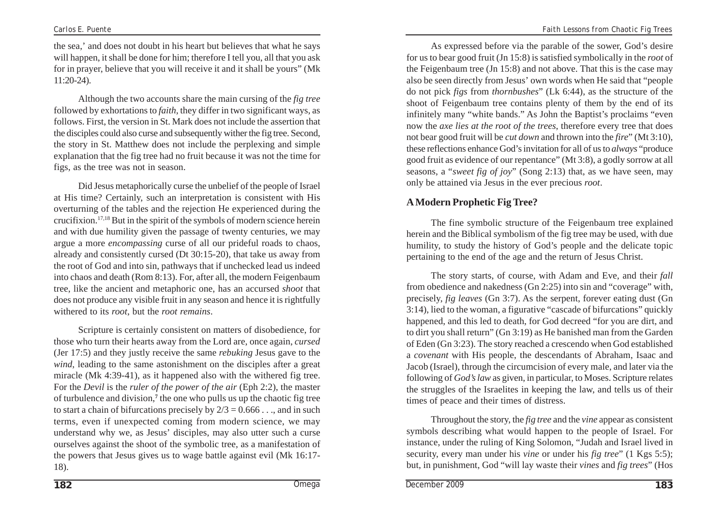the sea,' and does not doubt in his heart but believes that what he says will happen, it shall be done for him; therefore I tell you, all that you ask for in prayer, believe that you will receive it and it shall be yours" (Mk 11:20-24).

Although the two accounts share the main cursing of the *fig tree* followed by exhortations to *faith*, they differ in two significant ways, as follows. First, the version in St. Mark does not include the assertion that the disciples could also curse and subsequently wither the fig tree. Second, the story in St. Matthew does not include the perplexing and simple explanation that the fig tree had no fruit because it was not the time for figs, as the tree was not in season.

Did Jesus metaphorically curse the unbelief of the people of Israel at His time? Certainly, such an interpretation is consistent with His overturning of the tables and the rejection He experienced during the crucifixion.17,18 But in the spirit of the symbols of modern science herein and with due humility given the passage of twenty centuries, we may argue a more *encompassing* curse of all our prideful roads to chaos, already and consistently cursed (Dt 30:15-20), that take us away from the root of God and into sin, pathways that if unchecked lead us indeed into chaos and death (Rom 8:13). For, after all, the modern Feigenbaum tree, like the ancient and metaphoric one, has an accursed *shoot* that does not produce any visible fruit in any season and hence it is rightfully withered to its *root*, but the *root remains*.

Scripture is certainly consistent on matters of disobedience, for those who turn their hearts away from the Lord are, once again, *cursed* (Jer 17:5) and they justly receive the same *rebuking* Jesus gave to the *wind*, leading to the same astonishment on the disciples after a great miracle (Mk 4:39-41), as it happened also with the withered fig tree. For the *Devil* is the *ruler of the power of the air* (Eph 2:2), the master of turbulence and division,**<sup>7</sup>** the one who pulls us up the chaotic fig tree to start a chain of bifurcations precisely by  $2/3 = 0.666$ ..., and in such terms, even if unexpected coming from modern science, we may understand why we, as Jesus' disciples, may also utter such a curse ourselves against the shoot of the symbolic tree, as a manifestation of the powers that Jesus gives us to wage battle against evil (Mk 16:17- 18).

As expressed before via the parable of the sower, God's desire for us to bear good fruit (Jn 15:8) is satisfied symbolically in the *root* of the Feigenbaum tree (Jn 15:8) and not above. That this is the case may also be seen directly from Jesus' own words when He said that "people do not pick *figs* from *thornbushes*" (Lk 6:44), as the structure of the shoot of Feigenbaum tree contains plenty of them by the end of its infinitely many "white bands." As John the Baptist's proclaims "even now the *axe lies at the root of the trees*, therefore every tree that does not bear good fruit will be *cut down* and thrown into the *fire*" (Mt 3:10), these reflections enhance God's invitation for all of us to *always* "produce good fruit as evidence of our repentance" (Mt 3:8), a godly sorrow at all seasons, a "*sweet fig of joy*" (Song 2:13) that, as we have seen, may only be attained via Jesus in the ever precious *root*.

# **A Modern Prophetic Fig Tree?**

The fine symbolic structure of the Feigenbaum tree explained herein and the Biblical symbolism of the fig tree may be used, with due humility, to study the history of God's people and the delicate topic pertaining to the end of the age and the return of Jesus Christ.

The story starts, of course, with Adam and Eve, and their *fall* from obedience and nakedness (Gn 2:25) into sin and "coverage" with, precisely, *fig leaves* (Gn 3:7). As the serpent, forever eating dust (Gn 3:14), lied to the woman, a figurative "cascade of bifurcations" quickly happened, and this led to death, for God decreed "for you are dirt, and to dirt you shall return" (Gn 3:19) as He banished man from the Garden of Eden (Gn 3:23). The story reached a crescendo when God established a *covenant* with His people, the descendants of Abraham, Isaac and Jacob (Israel), through the circumcision of every male, and later via the following of *God'slaw* as given, in particular, to Moses. Scripture relates the struggles of the Israelites in keeping the law, and tells us of their times of peace and their times of distress.

Throughout the story, the *fig tree* and the *vine* appear as consistent symbols describing what would happen to the people of Israel. For instance, under the ruling of King Solomon, "Judah and Israel lived in security, every man under his *vine* or under his *fig tree*" (1 Kgs 5:5); but, in punishment, God "will lay waste their *vines* and *fig trees*" (Hos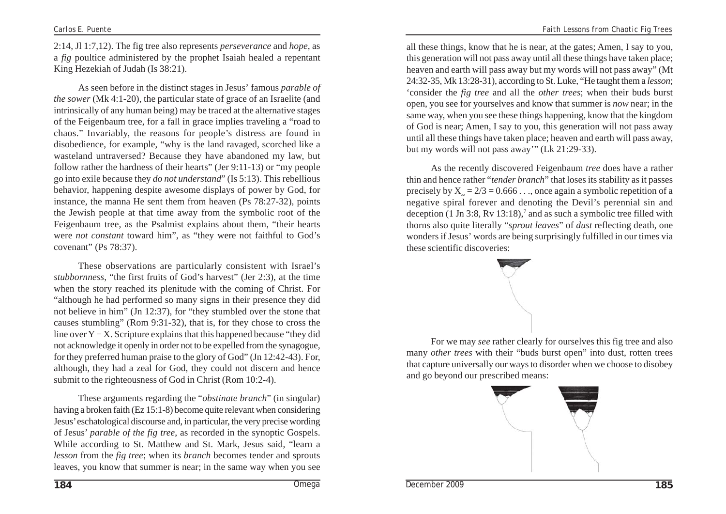2:14, Jl 1:7,12). The fig tree also represents *perseverance* and *hope*, as a *fig* poultice administered by the prophet Isaiah healed a repentant King Hezekiah of Judah (Is 38:21).

As seen before in the distinct stages in Jesus' famous *parable of the sower* (Mk 4:1-20), the particular state of grace of an Israelite (and intrinsically of any human being) may be traced at the alternative stages of the Feigenbaum tree, for a fall in grace implies traveling a "road to chaos." Invariably, the reasons for people's distress are found in disobedience, for example, "why is the land ravaged, scorched like a wasteland untraversed? Because they have abandoned my law, but follow rather the hardness of their hearts" (Jer 9:11-13) or "my people go into exile because they *do not understand*" (Is 5:13). This rebellious behavior, happening despite awesome displays of power by God, for instance, the manna He sent them from heaven (Ps 78:27-32), points the Jewish people at that time away from the symbolic root of the Feigenbaum tree, as the Psalmist explains about them, "their hearts were *not constant* toward him", as "they were not faithful to God's covenant" (Ps 78:37).

These observations are particularly consistent with Israel's *stubbornness*, "the first fruits of God's harvest" (Jer 2:3), at the time when the story reached its plenitude with the coming of Christ. For "although he had performed so many signs in their presence they did not believe in him" (Jn 12:37), for "they stumbled over the stone that causes stumbling" (Rom 9:31-32), that is, for they chose to cross the line over  $Y = X$ . Scripture explains that this happened because "they did not acknowledge it openly in order not to be expelled from the synagogue, for they preferred human praise to the glory of God" (Jn 12:42-43). For, although, they had a zeal for God, they could not discern and hence submit to the righteousness of God in Christ (Rom 10:2-4).

These arguments regarding the "*obstinate branch*" (in singular) having a broken faith (Ez 15:1-8) become quite relevant when considering Jesus' eschatological discourse and, in particular, the very precise wording of Jesus' *parable of the fig tree*, as recorded in the synoptic Gospels. While according to St. Matthew and St. Mark, Jesus said, "learn a *lesson* from the *fig tree*; when its *branch* becomes tender and sprouts leaves, you know that summer is near; in the same way when you see

all these things, know that he is near, at the gates; Amen, I say to you, this generation will not pass away until all these things have taken place; heaven and earth will pass away but my words will not pass away" (Mt 24:32-35, Mk 13:28-31), according to St. Luke, "He taught them a *lesson*; 'consider the *fig tree* and all the *other trees*; when their buds burst open, you see for yourselves and know that summer is *now* near; in the same way, when you see these things happening, know that the kingdom of God is near; Amen, I say to you, this generation will not pass away until all these things have taken place; heaven and earth will pass away, but my words will not pass away'" (Lk 21:29-33).

As the recently discovered Feigenbaum *tree* does have a rather thin and hence rather "*tender branch*" that loses its stability as it passes precisely by  $X = 2/3 = 0.666$ ..., once again a symbolic repetition of a negative spiral forever and denoting the Devil's perennial sin and deception  $(1 \text{ Jn } 3.8, \text{Rv } 13.18),^7$  and as such a symbolic tree filled with thorns also quite literally "*sprout leaves*" of *dust* reflecting death, one wonders if Jesus' words are being surprisingly fulfilled in our times via these scientific discoveries:



For we may *see* rather clearly for ourselves this fig tree and also many *other trees* with their "buds burst open" into dust, rotten trees that capture universally our ways to disorder when we choose to disobey and go beyond our prescribed means:

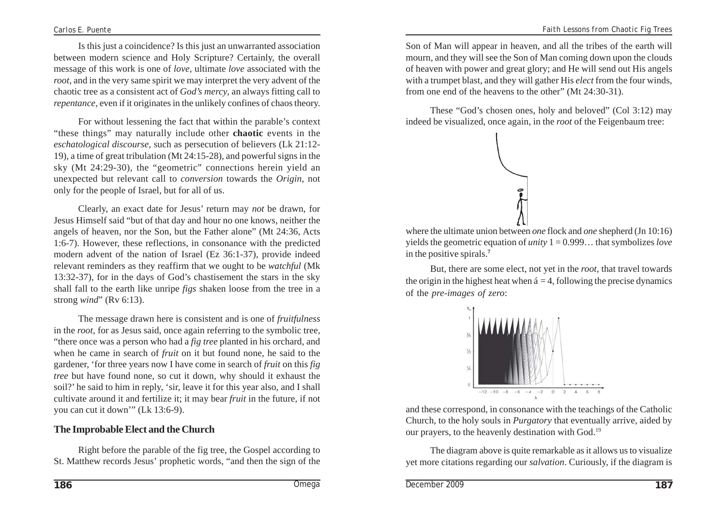Is this just a coincidence? Is this just an unwarranted association between modern science and Holy Scripture? Certainly, the overall message of this work is one of *love*, ultimate *love* associated with the *root*, and in the very same spirit we may interpret the very advent of the chaotic tree as a consistent act of *God's mercy*, an always fitting call to *repentance*, even if it originates in the unlikely confines of chaos theory.

For without lessening the fact that within the parable's context "these things" may naturally include other **chaotic** events in the *eschatological discourse*, such as persecution of believers (Lk 21:12- 19), a time of great tribulation (Mt 24:15-28), and powerful signs in the sky (Mt 24:29-30), the "geometric" connections herein yield an unexpected but relevant call to *conversion* towards the *Origin*, not only for the people of Israel, but for all of us.

Clearly, an exact date for Jesus' return may *not* be drawn, for Jesus Himself said "but of that day and hour no one knows, neither the angels of heaven, nor the Son, but the Father alone" (Mt 24:36, Acts 1:6-7). However, these reflections, in consonance with the predicted modern advent of the nation of Israel (Ez 36:1-37), provide indeed relevant reminders as they reaffirm that we ought to be *watchful* (Mk 13:32-37), for in the days of God's chastisement the stars in the sky shall fall to the earth like unripe *figs* shaken loose from the tree in a strong *wind*" (Rv 6:13).

The message drawn here is consistent and is one of *fruitfulness* in the *root*, for as Jesus said, once again referring to the symbolic tree, "there once was a person who had a *fig tree* planted in his orchard, and when he came in search of *fruit* on it but found none, he said to the gardener, 'for three years now I have come in search of *fruit* on this *fig tree* but have found none, so cut it down, why should it exhaust the soil?' he said to him in reply, 'sir, leave it for this year also, and I shall cultivate around it and fertilize it; it may bear *fruit* in the future, if not you can cut it down'" (Lk 13:6-9).

#### **The Improbable Elect and the Church**

Right before the parable of the fig tree, the Gospel according to St. Matthew records Jesus' prophetic words, "and then the sign of the Son of Man will appear in heaven, and all the tribes of the earth will mourn, and they will see the Son of Man coming down upon the clouds of heaven with power and great glory; and He will send out His angels with a trumpet blast, and they will gather His *elect* from the four winds, from one end of the heavens to the other" (Mt 24:30-31).

These "God's chosen ones, holy and beloved" (Col 3:12) may indeed be visualized, once again, in the *root* of the Feigenbaum tree:



where the ultimate union between *one* flock and *one* shepherd (Jn 10:16) yields the geometric equation of *unity* 1 = 0.999… that symbolizes *love* in the positive spirals.**<sup>7</sup>**

But, there are some elect, not yet in the *root*, that travel towards the origin in the highest heat when  $\acute{a} = 4$ , following the precise dynamics of the *pre-images of zero*:



and these correspond, in consonance with the teachings of the Catholic Church, to the holy souls in *Purgatory* that eventually arrive, aided by our prayers, to the heavenly destination with God.19

The diagram above is quite remarkable as it allows us to visualize yet more citations regarding our *salvation*. Curiously, if the diagram is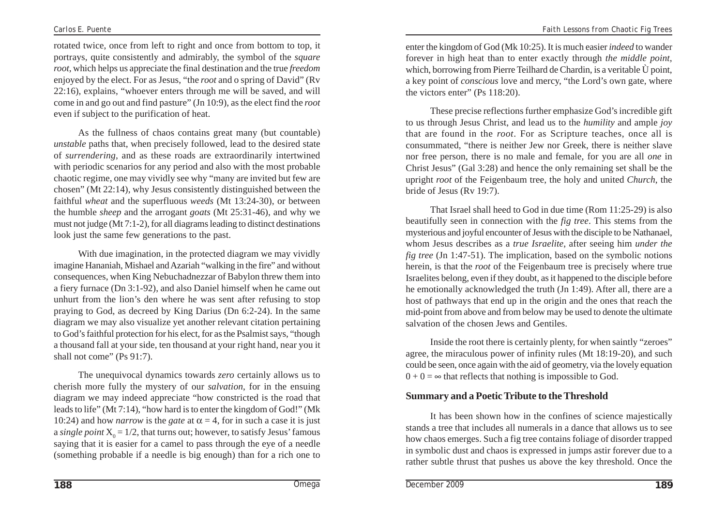rotated twice, once from left to right and once from bottom to top, it portrays, quite consistently and admirably, the symbol of the *square root*, which helps us appreciate the final destination and the true *freedom* enjoyed by the elect. For as Jesus, "the *root* and o spring of David" (Rv 22:16), explains, "whoever enters through me will be saved, and will come in and go out and find pasture" (Jn 10:9), as the elect find the *root* even if subject to the purification of heat.

As the fullness of chaos contains great many (but countable) *unstable* paths that, when precisely followed, lead to the desired state of *surrendering*, and as these roads are extraordinarily intertwined with periodic scenarios for any period and also with the most probable chaotic regime, one may vividly see why "many are invited but few are chosen" (Mt 22:14), why Jesus consistently distinguished between the faithful *wheat* and the superfluous *weeds* (Mt 13:24-30), or between the humble *sheep* and the arrogant *goats* (Mt 25:31-46), and why we must not judge (Mt 7:1-2), for all diagrams leading to distinct destinations look just the same few generations to the past.

With due imagination, in the protected diagram we may vividly imagine Hananiah, Mishael and Azariah "walking in the fire" and without consequences, when King Nebuchadnezzar of Babylon threw them into a fiery furnace (Dn 3:1-92), and also Daniel himself when he came out unhurt from the lion's den where he was sent after refusing to stop praying to God, as decreed by King Darius (Dn 6:2-24). In the same diagram we may also visualize yet another relevant citation pertaining to God's faithful protection for his elect, for as the Psalmist says, "though a thousand fall at your side, ten thousand at your right hand, near you it shall not come" (Ps 91:7).

The unequivocal dynamics towards *zero* certainly allows us to cherish more fully the mystery of our *salvation*, for in the ensuing diagram we may indeed appreciate "how constricted is the road that leads to life" (Mt 7:14), "how hard is to enter the kingdom of God!" (Mk 10:24) and how *narrow* is the *gate* at  $\alpha = 4$ , for in such a case it is just a *single point*  $X_0 = 1/2$ , that turns out; however, to satisfy Jesus' famous saying that it is easier for a camel to pass through the eye of a needle (something probable if a needle is big enough) than for a rich one to enter the kingdom of God (Mk 10:25). It is much easier *indeed* to wander forever in high heat than to enter exactly through *the middle point*, which, borrowing from Pierre Teilhard de Chardin, is a veritable Ù point, a key point of *conscious* love and mercy, "the Lord's own gate, where the victors enter" (Ps 118:20).

These precise reflections further emphasize God's incredible gift to us through Jesus Christ, and lead us to the *humility* and ample *joy* that are found in the *root*. For as Scripture teaches, once all is consummated, "there is neither Jew nor Greek, there is neither slave nor free person, there is no male and female, for you are all *one* in Christ Jesus" (Gal 3:28) and hence the only remaining set shall be the upright *root* of the Feigenbaum tree, the holy and united *Church*, the bride of Jesus (Rv 19:7).

That Israel shall heed to God in due time (Rom 11:25-29) is also beautifully seen in connection with the *fig tree*. This stems from the mysterious and joyful encounter of Jesus with the disciple to be Nathanael, whom Jesus describes as a *true Israelite*, after seeing him *under the fig tree* (Jn 1:47-51). The implication, based on the symbolic notions herein, is that the *root* of the Feigenbaum tree is precisely where true Israelites belong, even if they doubt, as it happened to the disciple before he emotionally acknowledged the truth (Jn 1:49). After all, there are a host of pathways that end up in the origin and the ones that reach the mid-point from above and from below may be used to denote the ultimate salvation of the chosen Jews and Gentiles.

Inside the root there is certainly plenty, for when saintly "zeroes" agree, the miraculous power of infinity rules (Mt 18:19-20), and such could be seen, once again with the aid of geometry, via the lovely equation  $0 + 0 = \infty$  that reflects that nothing is impossible to God.

#### **Summary and a Poetic Tribute to the Threshold**

It has been shown how in the confines of science majestically stands a tree that includes all numerals in a dance that allows us to see how chaos emerges. Such a fig tree contains foliage of disorder trapped in symbolic dust and chaos is expressed in jumps astir forever due to a rather subtle thrust that pushes us above the key threshold. Once the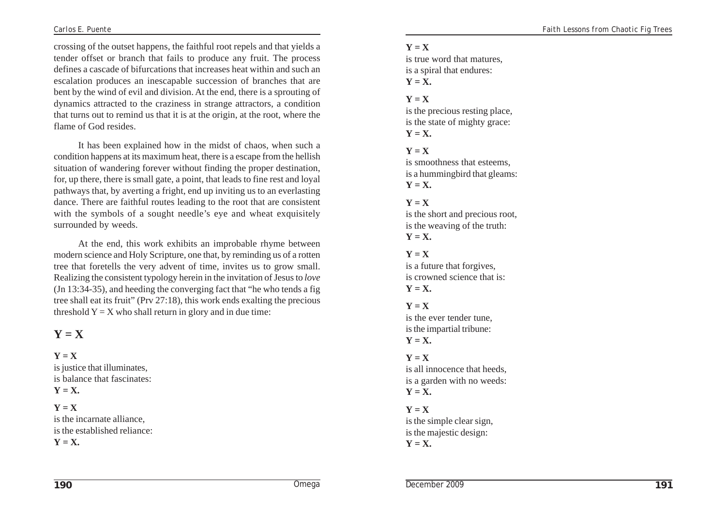crossing of the outset happens, the faithful root repels and that yields a tender offset or branch that fails to produce any fruit. The process defines a cascade of bifurcations that increases heat within and such an escalation produces an inescapable succession of branches that are bent by the wind of evil and division. At the end, there is a sprouting of dynamics attracted to the craziness in strange attractors, a condition that turns out to remind us that it is at the origin, at the root, where the flame of God resides.

It has been explained how in the midst of chaos, when such a condition happens at its maximum heat, there is a escape from the hellish situation of wandering forever without finding the proper destination, for, up there, there is small gate, a point, that leads to fine rest and loyal pathways that, by averting a fright, end up inviting us to an everlasting dance. There are faithful routes leading to the root that are consistent with the symbols of a sought needle's eye and wheat exquisitely surrounded by weeds.

At the end, this work exhibits an improbable rhyme between modern science and Holy Scripture, one that, by reminding us of a rotten tree that foretells the very advent of time, invites us to grow small. Realizing the consistent typology herein in the invitation of Jesus to *love* (Jn 13:34-35), and heeding the converging fact that "he who tends a fig tree shall eat its fruit" (Prv 27:18), this work ends exalting the precious threshold  $Y = X$  who shall return in glory and in due time:

# $Y = X$

# $Y = X$

is justice that illuminates, is balance that fascinates:  $Y = X$ .

#### $Y = X$

is the incarnate alliance, is the established reliance:  $Y = X$ .

#### $Y = X$

is true word that matures is a spiral that endures:  $Y = X$ .

#### $Y = X$

is the precious resting place, is the state of mighty grace:  $Y = X$ .

### $Y = X$

is smoothness that esteems, is a hummingbird that gleams:  $Y = X$ .

#### $Y = X$

is the short and precious root, is the weaving of the truth:  $Y = X$ .

## $Y = X$

is a future that forgives, is crowned science that is:  $Y = X$ .

#### $Y = X$

is the ever tender tune, is the impartial tribune:  $Y = X$ .

#### $Y = X$

is all innocence that heeds is a garden with no weeds:  $Y = X$ .

# $Y = X$

is the simple clear sign, is the majestic design:  $Y = X$ .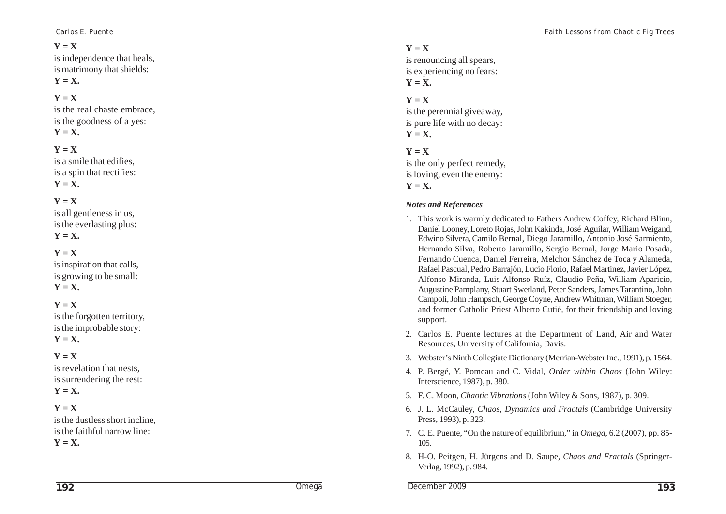## $Y = X$

is independence that heals, is matrimony that shields:  $Y = X$ .

# $Y = X$

is the real chaste embrace, is the goodness of a yes:  $Y = X$ .

### $Y = X$

is a smile that edifies, is a spin that rectifies:  $Y = X$ .

#### $Y = X$

is all gentleness in us, is the everlasting plus: **Y = X.**

# $Y = X$

is inspiration that calls, is growing to be small:  $Y = X$ .

# $Y = X$

is the forgotten territory, is the improbable story:  $Y = X$ .

### $Y = X$

is revelation that nests, is surrendering the rest: **Y = X.**

#### $Y = X$

is the dustless short incline, is the faithful narrow line:

 $Y = X$ .

# $Y = X$

is renouncing all spears, is experiencing no fears:  $Y = X$ .

#### $Y = X$

is the perennial giveaway, is pure life with no decay:  $Y = X$ .

#### $Y = X$

is the only perfect remedy, is loving, even the enemy:  $Y = X$ .

#### *Notes and References*

- 1. This work is warmly dedicated to Fathers Andrew Coffey, Richard Blinn, Daniel Looney, Loreto Rojas, John Kakinda, José Aguilar, William Weigand, Edwino Silvera, Camilo Bernal, Diego Jaramillo, Antonio José Sarmiento, Hernando Silva, Roberto Jaramillo, Sergio Bernal, Jorge Mario Posada, Fernando Cuenca, Daniel Ferreira, Melchor Sánchez de Toca y Alameda, Rafael Pascual, Pedro Barrajón, Lucio Florio, Rafael Martinez, Javier López, Alfonso Miranda, Luis Alfonso Ruíz, Claudio Peña, William Aparicio, Augustine Pamplany, Stuart Swetland, Peter Sanders, James Tarantino, John Campoli, John Hampsch, George Coyne, Andrew Whitman, William Stoeger, and former Catholic Priest Alberto Cutié, for their friendship and loving support.
- 2. Carlos E. Puente lectures at the Department of Land, Air and Water Resources, University of California, Davis.
- 3. Webster's Ninth Collegiate Dictionary (Merrian-Webster Inc., 1991), p. 1564.
- 4. P. Bergé, Y. Pomeau and C. Vidal, *Order within Chaos* (John Wiley: Interscience, 1987), p. 380.
- 5. F. C. Moon, *Chaotic Vibrations* (John Wiley & Sons, 1987), p. 309.
- 6. J. L. McCauley, *Chaos, Dynamics and Fractals* (Cambridge University Press, 1993), p. 323.
- 7. C. E. Puente, "On the nature of equilibrium," in *Omega*, 6.2 (2007), pp. 85- 105.
- 8. H-O. Peitgen, H. Jürgens and D. Saupe, *Chaos and Fractals* (Springer-Verlag, 1992), p. 984.